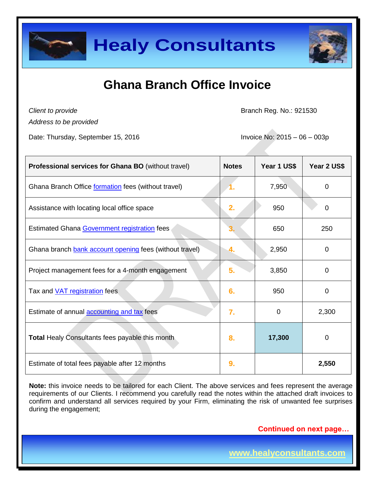

# **Ghana Branch Office Invoice**

*Client to provide*

Branch Reg. No.: 921530

*Address to be provided*

Date: Thursday, September 15, 2016 Invoice No: 2015 – 06 – 003p

| <b>Professional services for Ghana BO (without travel)</b> | <b>Notes</b> | Year 1 US\$ | Year 2 US\$ |
|------------------------------------------------------------|--------------|-------------|-------------|
| Ghana Branch Office formation fees (without travel)        |              | 7,950       | $\Omega$    |
| Assistance with locating local office space                | 2.           | 950         | 0           |
| Estimated Ghana Government registration fees               |              | 650         | 250         |
| Ghana branch bank account opening fees (without travel)    | 4.           | 2,950       | $\Omega$    |
| Project management fees for a 4-month engagement           | 5.           | 3,850       | $\Omega$    |
| Tax and <b>VAT</b> registration fees                       | 6.           | 950         | $\Omega$    |
| Estimate of annual accounting and tax fees                 | 7.           | 0           | 2,300       |
| <b>Total Healy Consultants fees payable this month</b>     | 8.           | 17,300      | 0           |
| Estimate of total fees payable after 12 months             | 9.           |             | 2,550       |

**Note:** this invoice needs to be tailored for each Client. The above services and fees represent the average requirements of our Clients. I recommend you carefully read the notes within the attached draft invoices to confirm and understand all services required by your Firm, eliminating the risk of unwanted fee surprises during the engagement;

 **Continued on next page…**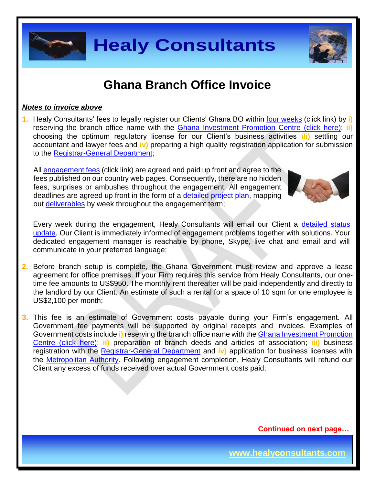

## **Ghana Branch Office Invoice**

#### *Notes to invoice above*

**1.** Healy Consultants' fees to legally register our Clients' Ghana BO within four [weeks](http://www.healyconsultants.com/ghana-company-registration/fees-timelines/#timelines) (click link) by **i)** reserving the branch office name with the [Ghana Investment Promotion Centre \(click here\);](http://www.gipcghana.com/) **ii)** choosing the optimum regulatory license for our Client's business activities **iIi)** settling our accountant and lawyer fees and **iv)** preparing a high quality registration application for submission to the [Registrar-General Department;](http://www.rgd.gov.gh/)

All [engagement fees](http://www.healyconsultants.com/company-registration-fees/) (click link) are agreed and paid up front and agree to the fees published on our country web pages. Consequently, there are no hidden fees, surprises or ambushes throughout the engagement. All engagement deadlines are agreed up front in the form of a [detailed project plan,](http://www.healyconsultants.com/index-important-links/example-project-plan/) mapping out [deliverables](http://www.healyconsultants.com/deliverables-to-our-clients/) by week throughout the engagement term;

Every week during the engagement, Healy Consultants will email our Client a detailed status [update.](http://www.healyconsultants.com/index-important-links/weekly-engagement-status-email/) Our Client is immediately informed of engagement problems together with solutions. Your dedicated engagement manager is reachable by phone, Skype, live chat and email and will communicate in your preferred language;

**2.** Before branch setup is complete, the Ghana Government must review and approve a lease agreement for office premises. If your Firm requires this service from Healy Consultants, our onetime fee amounts to US\$950. The monthly rent thereafter will be paid independently and directly to the landlord by our Client. An estimate of such a rental for a space of 10 sqm for one employee is US\$2,100 per month;

**3.** This fee is an estimate of Government costs payable during your Firm's engagement. All Government fee payments will be supported by original receipts and invoices. Examples of Government costs include **i)** reserving the branch office name with the [Ghana Investment Promotion](http://www.gipcghana.com/)  [Centre \(click here\);](http://www.gipcghana.com/) **ii)** preparation of branch deeds and articles of association; **iii)** business registration with the [Registrar-General Department](http://www.rgd.gov.gh/) and **iv)** application for business licenses with the [Metropolitan Authority.](http://www.ama.gov.gh/) Following engagement completion, Healy Consultants will refund our Client any excess of funds received over actual Government costs paid;

 **Continued on next page…**



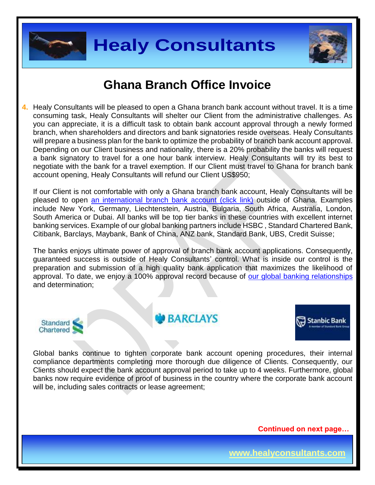



# **Ghana Branch Office Invoice**

**4.** Healy Consultants will be pleased to open a Ghana branch bank account without travel. It is a time consuming task, Healy Consultants will shelter our Client from the administrative challenges. As you can appreciate, it is a difficult task to obtain bank account approval through a newly formed branch, when shareholders and directors and bank signatories reside overseas. Healy Consultants will prepare a business plan for the bank to optimize the probability of branch bank account approval. Depending on our Client business and nationality, there is a 20% probability the banks will request a bank signatory to travel for a one hour bank interview. Healy Consultants will try its best to negotiate with the bank for a travel exemption. If our Client must travel to Ghana for branch bank account opening, Healy Consultants will refund our Client US\$950;

If our Client is not comfortable with only a Ghana branch bank account, Healy Consultants will be pleased to open an international branch [bank account \(click link\)](http://www.healyconsultants.com/international-banking/) outside of Ghana. Examples include New York, Germany, Liechtenstein, Austria, Bulgaria, South Africa, Australia, London, South America or Dubai. All banks will be top tier banks in these countries with excellent internet banking services. Example of our global banking partners include HSBC , Standard Chartered Bank, Citibank, Barclays, Maybank, Bank of China, ANZ bank, Standard Bank, UBS, Credit Suisse;

The banks enjoys ultimate power of approval of branch bank account applications. Consequently, guaranteed success is outside of Healy Consultants' control. What is inside our control is the preparation and submission of a high quality bank application that maximizes the likelihood of approval. To date, we enjoy a 100% approval record because of [our global banking relationships](http://www.healyconsultants.com/international-banking/corporate-accounts/) and determination;



**BARCLAYS** 



Global banks continue to tighten corporate bank account opening procedures, their internal compliance departments completing more thorough due diligence of Clients. Consequently, our Clients should expect the bank account approval period to take up to 4 weeks. Furthermore, global banks now require evidence of proof of business in the country where the corporate bank account will be, including sales contracts or lease agreement;

 **Continued on next page…**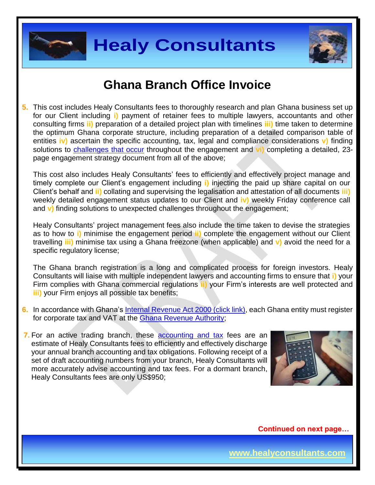



# **Ghana Branch Office Invoice**

**5.** This cost includes Healy Consultants fees to thoroughly research and plan Ghana business set up for our Client including **i)** payment of retainer fees to multiple lawyers, accountants and other consulting firms **ii)** preparation of a detailed project plan with timelines **iii)** time taken to determine the optimum Ghana corporate structure, including preparation of a detailed comparison table of entities **iv)** ascertain the specific accounting, tax, legal and compliance considerations **v)** finding solutions to [challenges that occur](http://www.healyconsultants.com/engagement-project-management/) throughout the engagement and **vi)** completing a detailed, 23 page engagement strategy document from all of the above;

This cost also includes Healy Consultants' fees to efficiently and effectively project manage and timely complete our Client's engagement including **i)** injecting the paid up share capital on our Client's behalf and **ii)** collating and supervising the legalisation and attestation of all documents **iii)**  weekly detailed engagement status updates to our Client and **iv)** weekly Friday conference call and **v)** finding solutions to unexpected challenges throughout the engagement;

Healy Consultants' project management fees also include the time taken to devise the strategies as to how to **i)** minimise the engagement period **ii)** complete the engagement without our Client travelling **iii)** minimise tax using a Ghana freezone (when applicable) and **v)** avoid the need for a specific regulatory license;

The Ghana branch registration is a long and complicated process for foreign investors. Healy Consultants will liaise with multiple independent lawyers and accounting firms to ensure that **i)** your Firm complies with Ghana commercial regulations **ii)** your Firm's interests are well protected and **iii)** your Firm enjoys all possible tax benefits;

- **6.** In accordance with Ghana's [Internal Revenue Act 2000 \(click link\),](http://www.gra.gov.gh/docs/info/irs_act.pdf) each Ghana entity must register for corporate tax and VAT at the [Ghana Revenue Authority;](http://www.gra.gov.gh/)
- **7.** For an active trading branch, these **[accounting and tax](http://www.healyconsultants.com/ghana-company-registration/accounting-legal/)** fees are an estimate of Healy Consultants fees to efficiently and effectively discharge your annual branch accounting and tax obligations. Following receipt of a set of draft accounting numbers from your branch, Healy Consultants will more accurately advise accounting and tax fees. For a dormant branch, Healy Consultants fees are only US\$950;



 **Continued on next page…**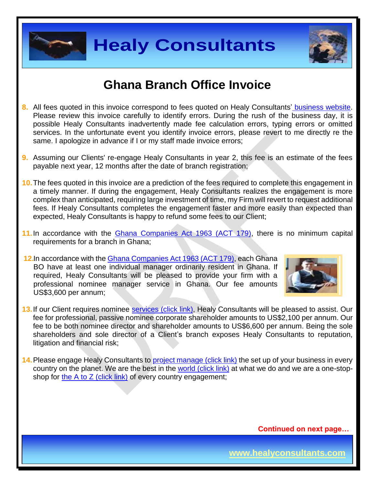



# **Ghana Branch Office Invoice**

- **8.** All fees quoted in this invoice correspond to fees quoted on Healy Consultants' [business website.](http://www.healyconsultants.com/company-registration-fees/) Please review this invoice carefully to identify errors. During the rush of the business day, it is possible Healy Consultants inadvertently made fee calculation errors, typing errors or omitted services. In the unfortunate event you identify invoice errors, please revert to me directly re the same. I apologize in advance if I or my staff made invoice errors;
- **9.** Assuming our Clients' re-engage Healy Consultants in year 2, this fee is an estimate of the fees payable next year, 12 months after the date of branch registration;
- **10.**The fees quoted in this invoice are a prediction of the fees required to complete this engagement in a timely manner. If during the engagement, Healy Consultants realizes the engagement is more complex than anticipated, requiring large investment of time, my Firm will revert to request additional fees. If Healy Consultants completes the engagement faster and more easily than expected than expected, Healy Consultants is happy to refund some fees to our Client;
- **11.**In accordance with the [Ghana Companies Act 1963 \(ACT 179\),](http://glorylawfirm.com/wp-content/uploads/2013/10/COMPANIES-ACT-1963-Act-179.pdf) there is no minimum capital requirements for a branch in Ghana;
- **12.**In accordance with the [Ghana Companies Act 1963 \(ACT 179\),](http://glorylawfirm.com/wp-content/uploads/2013/10/COMPANIES-ACT-1963-Act-179.pdf) each Ghana BO have at least one individual manager ordinarily resident in Ghana. If required, Healy Consultants will be pleased to provide your firm with a professional nominee manager service in Ghana. Our fee amounts US\$3,600 per annum;



- 13. If our Client requires nominee services [\(click link\),](http://www.healyconsultants.com/corporate-outsourcing-services/nominee-shareholders-directors/) Healy Consultants will be pleased to assist. Our fee for professional, passive nominee corporate shareholder amounts to US\$2,100 per annum. Our fee to be both nominee director and shareholder amounts to US\$6,600 per annum. Being the sole shareholders and sole director of a Client's branch exposes Healy Consultants to reputation, litigation and financial risk;
- **14.** Please engage Healy Consultants to [project manage \(click link\)](http://www.healyconsultants.com/project-manage-engagements/) the set up of your business in every country on the planet. We are the best in the [world \(click link\)](http://www.healyconsultants.com/best-in-the-world/) at what we do and we are a one-stopshop for [the A to Z \(click link\)](http://www.healyconsultants.com/a-to-z-of-business-set-up/) of every country engagement;

 **Continued on next page…**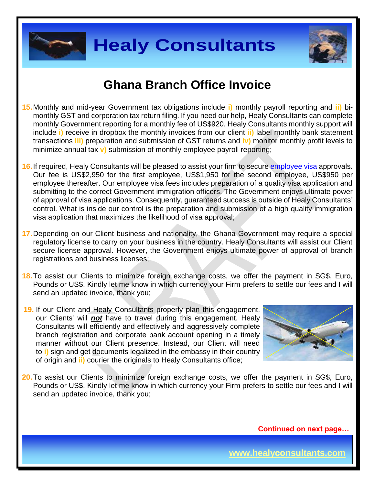



# **Ghana Branch Office Invoice**

- **15.**Monthly and mid-year Government tax obligations include **i)** monthly payroll reporting and **ii)** bimonthly GST and corporation tax return filing. If you need our help, Healy Consultants can complete monthly Government reporting for a monthly fee of US\$920. Healy Consultants monthly support will include **i)** receive in dropbox the monthly invoices from our client **ii)** label monthly bank statement transactions **iii)** preparation and submission of GST returns and **iv)** monitor monthly profit levels to minimize annual tax **v)** submission of monthly employee payroll reporting;
- **16.**If required, Healy Consultants will be pleased to assist your firm to secure [employee visa](http://www.healyconsultants.com/corporate-advisory-services/migration/) approvals. Our fee is US\$2,950 for the first employee, US\$1,950 for the second employee, US\$950 per employee thereafter. Our employee visa fees includes preparation of a quality visa application and submitting to the correct Government immigration officers. The Government enjoys ultimate power of approval of visa applications. Consequently, guaranteed success is outside of Healy Consultants' control. What is inside our control is the preparation and submission of a high quality immigration visa application that maximizes the likelihood of visa approval;
- **17.**Depending on our Client business and nationality, the Ghana Government may require a special regulatory license to carry on your business in the country. Healy Consultants will assist our Client secure license approval. However, the Government enjoys ultimate power of approval of branch registrations and business licenses;
- **18.**To assist our Clients to minimize foreign exchange costs, we offer the payment in SG\$, Euro, Pounds or US\$. Kindly let me know in which currency your Firm prefers to settle our fees and I will send an updated invoice, thank you;
- **19.** If our Client and Healy Consultants properly plan this engagement, our Clients' will *not* have to travel during this engagement. Healy Consultants will efficiently and effectively and aggressively complete branch registration and corporate bank account opening in a timely manner without our Client presence. Instead, our Client will need to **i)** sign and get documents legalized in the embassy in their country of origin and **ii)** courier the originals to Healy Consultants office;



**20.**To assist our Clients to minimize foreign exchange costs, we offer the payment in SG\$, Euro, Pounds or US\$. Kindly let me know in which currency your Firm prefers to settle our fees and I will send an updated invoice, thank you;

 **Continued on next page…**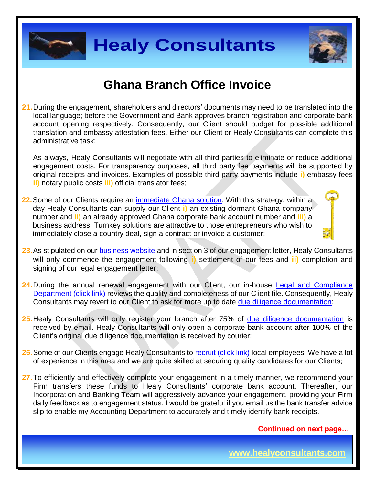



# **Ghana Branch Office Invoice**

**21.**During the engagement, shareholders and directors' documents may need to be translated into the local language; before the Government and Bank approves branch registration and corporate bank account opening respectively. Consequently, our Client should budget for possible additional translation and embassy attestation fees. Either our Client or Healy Consultants can complete this administrative task;

As always, Healy Consultants will negotiate with all third parties to eliminate or reduce additional engagement costs. For transparency purposes, all third party fee payments will be supported by original receipts and invoices. Examples of possible third party payments include **i)** embassy fees **ii)** notary public costs **iii)** official translator fees;

- **22.** Some of our Clients require an [immediate Ghana](http://www.healyconsultants.com/turnkey-solutions/) solution. With this strategy, within a day Healy Consultants can supply our Client **i)** an existing dormant Ghana company number and **ii)** an already approved Ghana corporate bank account number and **iii)** a business address. Turnkey solutions are attractive to those entrepreneurs who wish to immediately close a country deal, sign a contract or invoice a customer;
- 23. As stipulated on our **business website** and in section 3 of our engagement letter, Healy Consultants will only commence the engagement following **i)** settlement of our fees and **ii)** completion and signing of our legal engagement letter;
- 24. During the annual renewal engagement with our Client, our in-house Legal and Compliance [Department \(click link\)](http://www.healyconsultants.com/about-us/key-personnel/cai-xin-profile/) reviews the quality and completeness of our Client file. Consequently, Healy Consultants may revert to our Client to ask for more up to date [due diligence documentation;](http://www.healyconsultants.com/due-diligence/)
- **25.**Healy Consultants will only register your branch after 75% of [due diligence documentation](http://www.healyconsultants.com/due-diligence/) is received by email. Healy Consultants will only open a corporate bank account after 100% of the Client's original due diligence documentation is received by courier;
- 26. Some of our Clients engage Healy Consultants to [recruit \(click link\)](http://www.healyconsultants.com/corporate-outsourcing-services/how-we-help-our-clients-recruit-quality-employees/) local employees. We have a lot of experience in this area and we are quite skilled at securing quality candidates for our Clients;
- 27. To efficiently and effectively complete your engagement in a timely manner, we recommend your Firm transfers these funds to Healy Consultants' corporate bank account. Thereafter, our Incorporation and Banking Team will aggressively advance your engagement, providing your Firm daily feedback as to engagement status. I would be grateful if you email us the bank transfer advice slip to enable my Accounting Department to accurately and timely identify bank receipts.

 **Continued on next page…**